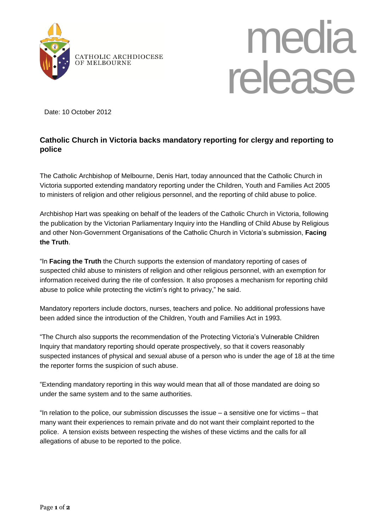



Date: 10 October 2012

## **Catholic Church in Victoria backs mandatory reporting for clergy and reporting to police**

The Catholic Archbishop of Melbourne, Denis Hart, today announced that the Catholic Church in Victoria supported extending mandatory reporting under the Children, Youth and Families Act 2005 to ministers of religion and other religious personnel, and the reporting of child abuse to police.

Archbishop Hart was speaking on behalf of the leaders of the Catholic Church in Victoria, following the publication by the Victorian Parliamentary Inquiry into the Handling of Child Abuse by Religious and other Non-Government Organisations of the Catholic Church in Victoria's submission, **Facing the Truth**.

"In **Facing the Truth** the Church supports the extension of mandatory reporting of cases of suspected child abuse to ministers of religion and other religious personnel, with an exemption for information received during the rite of confession. It also proposes a mechanism for reporting child abuse to police while protecting the victim's right to privacy," he said.

Mandatory reporters include doctors, nurses, teachers and police. No additional professions have been added since the introduction of the Children, Youth and Families Act in 1993.

"The Church also supports the recommendation of the Protecting Victoria's Vulnerable Children Inquiry that mandatory reporting should operate prospectively, so that it covers reasonably suspected instances of physical and sexual abuse of a person who is under the age of 18 at the time the reporter forms the suspicion of such abuse.

"Extending mandatory reporting in this way would mean that all of those mandated are doing so under the same system and to the same authorities.

"In relation to the police, our submission discusses the issue – a sensitive one for victims – that many want their experiences to remain private and do not want their complaint reported to the police. A tension exists between respecting the wishes of these victims and the calls for all allegations of abuse to be reported to the police.